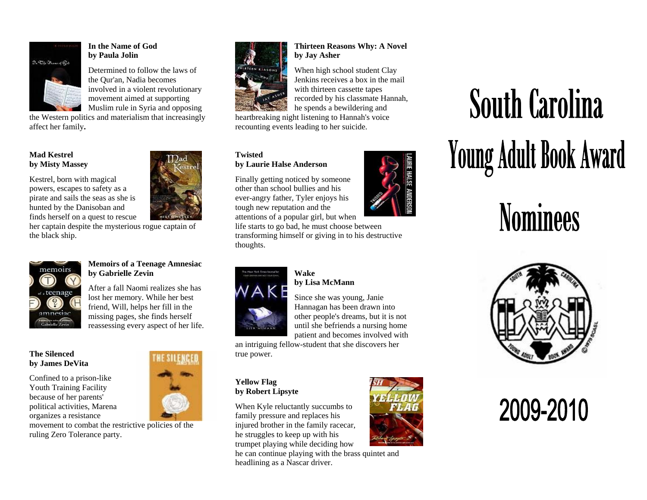

#### **In the Name of God by Paula Jolin**

Determined to follow the laws of the Qur'an, Nadia becomes involved in a violent revolutionary movement aimed at supporting Muslim rule in Syria and opposing

the Western politics and materialism that increasingly affect her family**.**

#### **Mad Kestrel by Misty Massey**

Kestrel, born with magical powers, escapes to safety as a pirate and sails the seas as she is hunted by the Danisoban and finds herself on a quest to rescue



her captain despite the mysterious rogue captain of the black ship.



#### **Memoirs of a Teenage Amnesiac by Gabrielle Zevin**

After a fall Naomi realizes she has lost her memory. While her best friend, Will, helps her fill in the missing pages, she finds herself reassessing every aspect of her life.

#### **The Silenced by James DeVita**

Confined to a prison-like Youth Training Facility because of her parents' political activities, Marena organizes a resistance

movement to combat the restrictive policies of the ruling Zero Tolerance party.





When high school student Clay Jenkins receives a box in the mail with thirteen cassette tapes recorded by his classmate Hannah,

**Thirteen Reasons Why: A Novel** 

he spends a bewildering and heartbreaking night listening to Hannah's voice recounting events leading to her suicide.

**by Jay Asher** 

#### **Twisted by Laurie Halse Anderson**

Finally getting noticed by someone other than school bullies and his ever-angry father, Tyler enjoys his tough new reputation and the attentions of a popular girl, but when

life starts to go bad, he must choose between transforming himself or giving in to his destructive thoughts.



#### **Wake by Lisa McMann**

Since she was young, Janie Hannagan has been drawn into other people's dreams, but it is not until she befriends a nursing home patient and becomes involved with

an intriguing fellow-student that she discovers her true power.

#### **Yellow Flag by Robert Lipsyte**

When Kyle reluctantly succumbs to family pressure and replaces his injured brother in the family racecar, he struggles to keep up with his trumpet playing while deciding how

he can continue playing with the brass quintet and headlining as a Nascar driver.



# **South Carolina** Young Adult Book Award

## **Nominees**



### 2009-2010